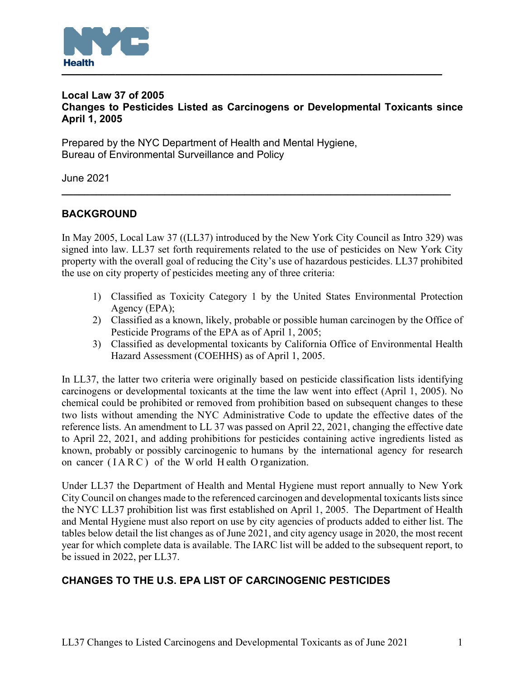

## **Local Law 37 of 2005 Changes to Pesticides Listed as Carcinogens or Developmental Toxicants since April 1, 2005**

Prepared by the NYC Department of Health and Mental Hygiene, Bureau of Environmental Surveillance and Policy

June 2021

# **BACKGROUND**

In May 2005, Local Law 37 ((LL37) introduced by the New York City Council as Intro 329) was signed into law. LL37 set forth requirements related to the use of pesticides on New York City property with the overall goal of reducing the City's use of hazardous pesticides. LL37 prohibited the use on city property of pesticides meeting any of three criteria:

**\_\_\_\_\_\_\_\_\_\_\_\_\_\_\_\_\_\_\_\_\_\_\_\_\_\_\_\_\_\_\_\_\_\_\_\_\_\_\_\_\_\_\_\_\_\_\_\_\_\_\_\_\_\_\_\_\_\_\_\_\_\_\_\_\_\_\_\_**

- 1) Classified as Toxicity Category 1 by the United States Environmental Protection Agency (EPA);
- 2) Classified as a known, likely, probable or possible human carcinogen by the Office of Pesticide Programs of the EPA as of April 1, 2005;
- 3) Classified as developmental toxicants by California Office of Environmental Health Hazard Assessment (COEHHS) as of April 1, 2005.

In LL37, the latter two criteria were originally based on pesticide classification lists identifying carcinogens or developmental toxicants at the time the law went into effect (April 1, 2005). No chemical could be prohibited or removed from prohibition based on subsequent changes to these two lists without amending the NYC Administrative Code to update the effective dates of the reference lists. An amendment to LL 37 was passed on April 22, 2021, changing the effective date to April 22, 2021, and adding prohibitions for pesticides containing active ingredients listed as known, probably or possibly carcinogenic to humans by the international agency for research on cancer (IARC) of the W orld H ealth O rganization.

Under LL37 the Department of Health and Mental Hygiene must report annually to New York City Council on changes made to the referenced carcinogen and developmental toxicants lists since the NYC LL37 prohibition list was first established on April 1, 2005. The Department of Health and Mental Hygiene must also report on use by city agencies of products added to either list. The tables below detail the list changes as of June 2021, and city agency usage in 2020, the most recent year for which complete data is available. The IARC list will be added to the subsequent report, to be issued in 2022, per LL37.

## **CHANGES TO THE U.S. EPA LIST OF CARCINOGENIC PESTICIDES**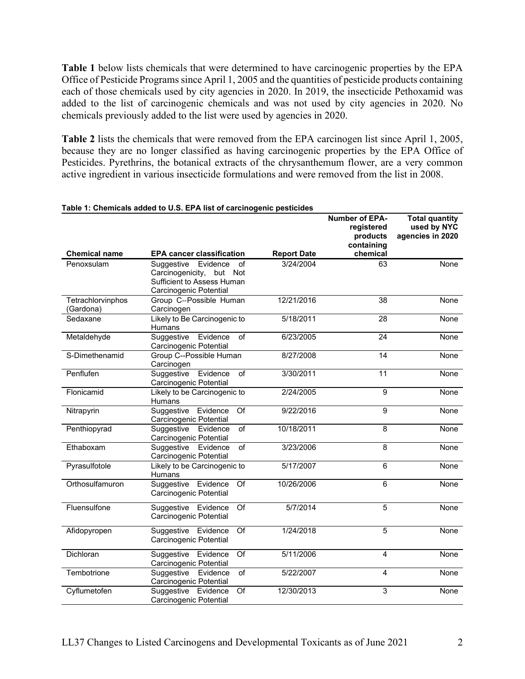**Table 1** below lists chemicals that were determined to have carcinogenic properties by the EPA Office of Pesticide Programs since April 1, 2005 and the quantities of pesticide products containing each of those chemicals used by city agencies in 2020. In 2019, the insecticide Pethoxamid was added to the list of carcinogenic chemicals and was not used by city agencies in 2020. No chemicals previously added to the list were used by agencies in 2020.

**Table 2** lists the chemicals that were removed from the EPA carcinogen list since April 1, 2005, because they are no longer classified as having carcinogenic properties by the EPA Office of Pesticides. Pyrethrins, the botanical extracts of the chrysanthemum flower, are a very common active ingredient in various insecticide formulations and were removed from the list in 2008.

|                                |                                                                                                                  |                    | <b>Number of EPA-</b><br>registered<br>products<br>containing | <b>Total quantity</b><br>used by NYC<br>agencies in 2020 |
|--------------------------------|------------------------------------------------------------------------------------------------------------------|--------------------|---------------------------------------------------------------|----------------------------------------------------------|
| <b>Chemical name</b>           | <b>EPA cancer classification</b>                                                                                 | <b>Report Date</b> | chemical                                                      |                                                          |
| Penoxsulam                     | Suggestive Evidence<br>of<br>Carcinogenicity,<br>but Not<br>Sufficient to Assess Human<br>Carcinogenic Potential | 3/24/2004          | 63                                                            | None                                                     |
| Tetrachlorvinphos<br>(Gardona) | Group C--Possible Human<br>Carcinogen                                                                            | 12/21/2016         | 38                                                            | None                                                     |
| Sedaxane                       | Likely to Be Carcinogenic to<br>Humans                                                                           | 5/18/2011          | 28                                                            | None                                                     |
| Metaldehyde                    | $\overline{of}$<br>Evidence<br>Suggestive<br>Carcinogenic Potential                                              | 6/23/2005          | $\overline{24}$                                               | None                                                     |
| S-Dimethenamid                 | Group C--Possible Human<br>Carcinogen                                                                            | 8/27/2008          | 14                                                            | None                                                     |
| Penflufen                      | Evidence<br>of<br>Suggestive<br>Carcinogenic Potential                                                           | 3/30/2011          | 11                                                            | None                                                     |
| Flonicamid                     | Likely to be Carcinogenic to<br><b>Humans</b>                                                                    | 2/24/2005          | 9                                                             | None                                                     |
| Nitrapyrin                     | Of<br>Suggestive Evidence<br>Carcinogenic Potential                                                              | 9/22/2016          | 9                                                             | None                                                     |
| Penthiopyrad                   | Suggestive Evidence<br>of<br>Carcinogenic Potential                                                              | 10/18/2011         | 8                                                             | None                                                     |
| Ethaboxam                      | $\overline{of}$<br>Suggestive Evidence<br>Carcinogenic Potential                                                 | 3/23/2006          | 8                                                             | None                                                     |
| Pyrasulfotole                  | Likely to be Carcinogenic to<br><b>Humans</b>                                                                    | 5/17/2007          | 6                                                             | None                                                     |
| Orthosulfamuron                | Of<br>Suggestive Evidence<br>Carcinogenic Potential                                                              | 10/26/2006         | 6                                                             | None                                                     |
| Fluensulfone                   | Suggestive Evidence<br>Of<br>Carcinogenic Potential                                                              | 5/7/2014           | 5                                                             | None                                                     |
| Afidopyropen                   | Of<br>Suggestive Evidence<br>Carcinogenic Potential                                                              | 1/24/2018          | 5                                                             | None                                                     |
| Dichloran                      | Of<br>Suggestive Evidence<br>Carcinogenic Potential                                                              | 5/11/2006          | $\overline{4}$                                                | None                                                     |
| Tembotrione                    | Suggestive<br>Evidence<br>of<br>Carcinogenic Potential                                                           | 5/22/2007          | $\overline{4}$                                                | None                                                     |
| Cyflumetofen                   | Suggestive<br>Evidence<br>Of<br>Carcinogenic Potential                                                           | 12/30/2013         | $\overline{3}$                                                | None                                                     |

### **Table 1: Chemicals added to U.S. EPA list of carcinogenic pesticides**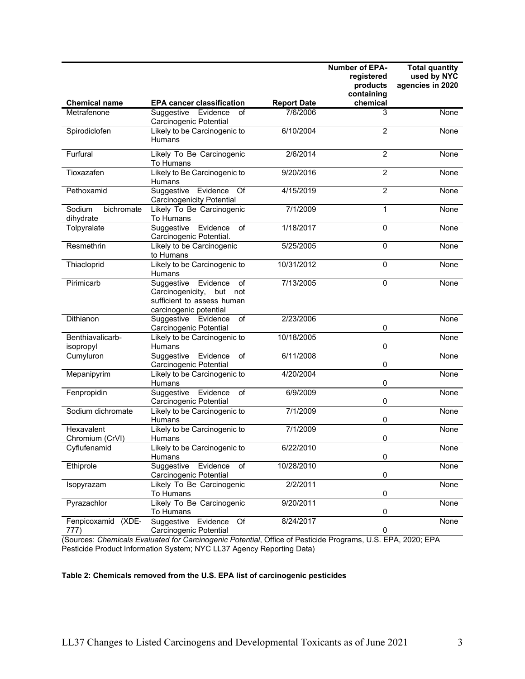| <b>Chemical name</b>              | <b>EPA cancer classification</b>                                                                                       |                                | <b>Number of EPA-</b><br>registered<br>products<br>containing<br>chemical | <b>Total quantity</b><br>used by NYC<br>agencies in 2020 |
|-----------------------------------|------------------------------------------------------------------------------------------------------------------------|--------------------------------|---------------------------------------------------------------------------|----------------------------------------------------------|
| Metrafenone                       | Suggestive<br>Evidence<br>of                                                                                           | <b>Report Date</b><br>7/6/2006 | 3                                                                         | <b>None</b>                                              |
| Spirodiclofen                     | Carcinogenic Potential<br>Likely to be Carcinogenic to<br><b>Humans</b>                                                | 6/10/2004                      | $\overline{2}$                                                            | None                                                     |
| Furfural                          | Likely To Be Carcinogenic<br>To Humans                                                                                 | 2/6/2014                       | $\overline{2}$                                                            | None                                                     |
| Tioxazafen                        | Likely to Be Carcinogenic to<br><b>Humans</b>                                                                          | 9/20/2016                      | $\overline{2}$                                                            | <b>None</b>                                              |
| Pethoxamid                        | Suggestive Evidence<br>Of<br><b>Carcinogenicity Potential</b>                                                          | 4/15/2019                      | $\overline{2}$                                                            | None                                                     |
| Sodium<br>bichromate<br>dihydrate | Likely To Be Carcinogenic<br>To Humans                                                                                 | 7/1/2009                       | 1                                                                         | None                                                     |
| Tolpyralate                       | Evidence<br>of<br>Suggestive<br>Carcinogenic Potential.                                                                | 1/18/2017                      | $\mathbf 0$                                                               | None                                                     |
| Resmethrin                        | Likely to be Carcinogenic<br>to Humans                                                                                 | 5/25/2005                      | $\overline{0}$                                                            | None                                                     |
| Thiacloprid                       | Likely to be Carcinogenic to<br><b>Humans</b>                                                                          | 10/31/2012                     | 0                                                                         | None                                                     |
| Pirimicarb                        | Suggestive<br>Evidence<br>of<br>Carcinogenicity,<br>but<br>not<br>sufficient to assess human<br>carcinogenic potential | 7/13/2005                      | 0                                                                         | <b>None</b>                                              |
| Dithianon                         | Suggestive Evidence<br>of<br>Carcinogenic Potential                                                                    | 2/23/2006                      | 0                                                                         | <b>None</b>                                              |
| Benthiavalicarb-<br>isopropyl     | Likely to be Carcinogenic to<br><b>Humans</b>                                                                          | 10/18/2005                     | 0                                                                         | None                                                     |
| Cumyluron                         | Suggestive Evidence<br>of<br>Carcinogenic Potential                                                                    | 6/11/2008                      | 0                                                                         | None                                                     |
| Mepanipyrim                       | Likely to be Carcinogenic to<br>Humans                                                                                 | 4/20/2004                      | 0                                                                         | None                                                     |
| Fenpropidin                       | Suggestive Evidence<br>of<br>Carcinogenic Potential                                                                    | 6/9/2009                       | 0                                                                         | None                                                     |
| Sodium dichromate                 | Likely to be Carcinogenic to<br><b>Humans</b>                                                                          | 7/1/2009                       | 0                                                                         | None                                                     |
| Hexavalent<br>Chromium (CrVI)     | Likely to be Carcinogenic to<br><b>Humans</b>                                                                          | 7/1/2009                       | 0                                                                         | None                                                     |
| Cyflufenamid                      | Likely to be Carcinogenic to<br>Humans                                                                                 | 6/22/2010                      | $\pmb{0}$                                                                 | None                                                     |
| Ethiprole                         | of<br>Suggestive<br>Evidence<br>Carcinogenic Potential                                                                 | 10/28/2010                     | 0                                                                         | None                                                     |
| Isopyrazam                        | Likely To Be Carcinogenic<br>To Humans                                                                                 | 2/2/2011                       | 0                                                                         | None                                                     |
| Pyrazachlor                       | Likely To Be Carcinogenic<br>To Humans                                                                                 | 9/20/2011                      | $\pmb{0}$                                                                 | None                                                     |
| Fenpicoxamid<br>$(XDE -$<br>777)  | Suggestive<br>Evidence<br>Of<br>Carcinogenic Potential                                                                 | 8/24/2017                      | 0                                                                         | None                                                     |

(Sources: *Chemicals Evaluated for Carcinogenic Potential*, Office of Pesticide Programs, U.S. EPA, 2020; EPA Pesticide Product Information System; NYC LL37 Agency Reporting Data)

### **Table 2: Chemicals removed from the U.S. EPA list of carcinogenic pesticides**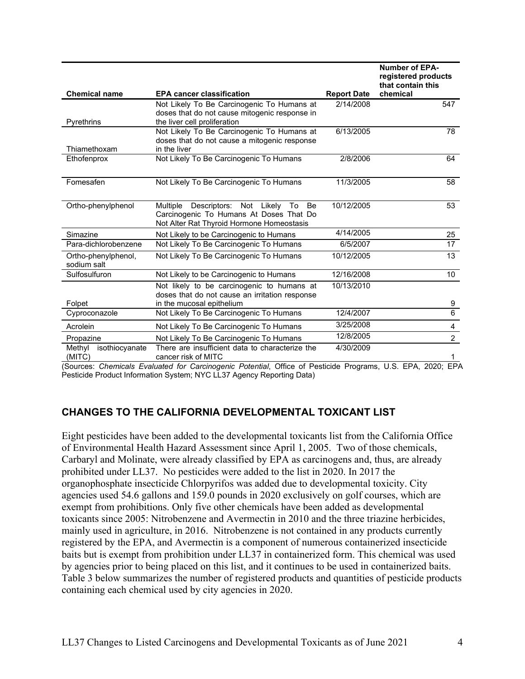|                                    |                                                                                                                                                         |                    | <b>Number of EPA-</b><br>registered products<br>that contain this       |
|------------------------------------|---------------------------------------------------------------------------------------------------------------------------------------------------------|--------------------|-------------------------------------------------------------------------|
| <b>Chemical name</b>               | <b>EPA cancer classification</b>                                                                                                                        | <b>Report Date</b> | chemical                                                                |
| Pyrethrins                         | Not Likely To Be Carcinogenic To Humans at<br>doses that do not cause mitogenic response in<br>the liver cell proliferation                             | 2/14/2008          | 547                                                                     |
| Thiamethoxam                       | Not Likely To Be Carcinogenic To Humans at<br>doses that do not cause a mitogenic response<br>in the liver                                              | 6/13/2005          | 78                                                                      |
| Ethofenprox                        | Not Likely To Be Carcinogenic To Humans                                                                                                                 | 2/8/2006           | 64                                                                      |
| Fomesafen                          | Not Likely To Be Carcinogenic To Humans                                                                                                                 | 11/3/2005          | 58                                                                      |
| Ortho-phenylphenol                 | Descriptors: Not Likely To Be<br><b>Multiple</b><br>Carcinogenic To Humans At Doses That Do<br>Not Alter Rat Thyroid Hormone Homeostasis                | 10/12/2005         | 53                                                                      |
| Simazine                           | Not Likely to be Carcinogenic to Humans                                                                                                                 | 4/14/2005          | 25                                                                      |
| Para-dichlorobenzene               | Not Likely To Be Carcinogenic To Humans                                                                                                                 | 6/5/2007           | $\overline{17}$                                                         |
| Ortho-phenylphenol,<br>sodium salt | Not Likely To Be Carcinogenic To Humans                                                                                                                 | 10/12/2005         | 13                                                                      |
| Sulfosulfuron                      | Not Likely to be Carcinogenic to Humans                                                                                                                 | 12/16/2008         | 10 <sup>°</sup>                                                         |
|                                    | Not likely to be carcinogenic to humans at<br>doses that do not cause an irritation response                                                            | 10/13/2010         |                                                                         |
| Folpet                             | in the mucosal epithelium                                                                                                                               |                    | 9                                                                       |
| Cyproconazole                      | Not Likely To Be Carcinogenic To Humans                                                                                                                 | 12/4/2007          | $\overline{6}$                                                          |
| Acrolein                           | Not Likely To Be Carcinogenic To Humans                                                                                                                 | 3/25/2008          | 4                                                                       |
| Propazine                          | Not Likely To Be Carcinogenic To Humans                                                                                                                 | 12/8/2005          | $\overline{2}$                                                          |
| Methyl<br>isothiocyanate<br>(MITC) | There are insufficient data to characterize the<br>cancer risk of MITC<br>a Chamisale Evaluated for Cominensatio Detential Office of Desticide Dresmans | 4/30/2009          | $\overline{110}$ $\overline{501}$ $\overline{2020}$<br>$F^{\mathsf{A}}$ |

(Sources: *Chemicals Evaluated for Carcinogenic Potential*, Office of Pesticide Programs, U.S. EPA, 2020; EPA Pesticide Product Information System; NYC LL37 Agency Reporting Data)

## **CHANGES TO THE CALIFORNIA DEVELOPMENTAL TOXICANT LIST**

Eight pesticides have been added to the developmental toxicants list from the California Office of Environmental Health Hazard Assessment since April 1, 2005. Two of those chemicals, Carbaryl and Molinate, were already classified by EPA as carcinogens and, thus, are already prohibited under LL37. No pesticides were added to the list in 2020. In 2017 the organophosphate insecticide Chlorpyrifos was added due to developmental toxicity. City agencies used 54.6 gallons and 159.0 pounds in 2020 exclusively on golf courses, which are exempt from prohibitions. Only five other chemicals have been added as developmental toxicants since 2005: Nitrobenzene and Avermectin in 2010 and the three triazine herbicides, mainly used in agriculture, in 2016. Nitrobenzene is not contained in any products currently registered by the EPA, and Avermectin is a component of numerous containerized insecticide baits but is exempt from prohibition under LL37 in containerized form. This chemical was used by agencies prior to being placed on this list, and it continues to be used in containerized baits. Table 3 below summarizes the number of registered products and quantities of pesticide products containing each chemical used by city agencies in 2020.